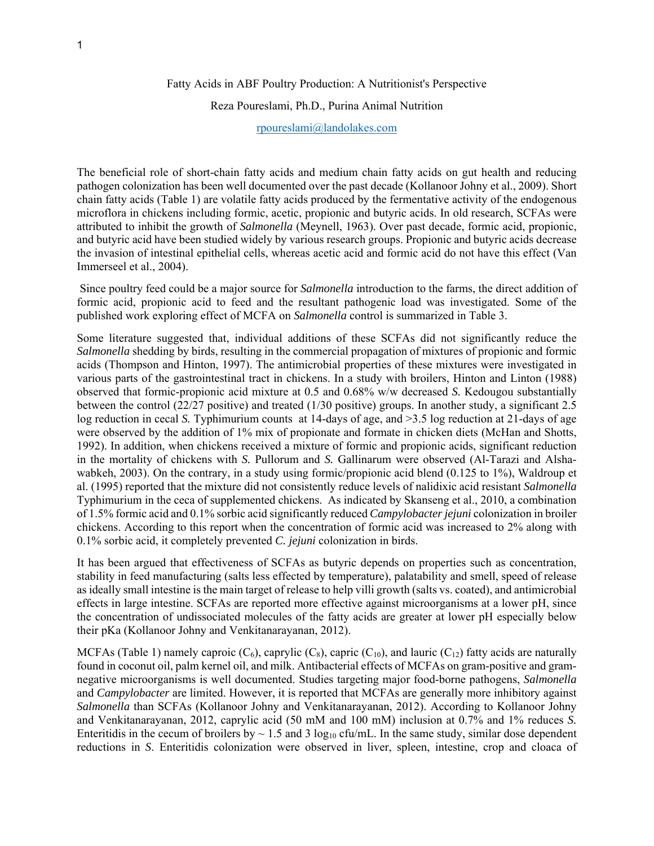## Fatty Acids in ABF Poultry Production: A Nutritionist's Perspective

# Reza Poureslami, Ph.D., Purina Animal Nutrition

## rpoureslami@landolakes.com

The beneficial role of short-chain fatty acids and medium chain fatty acids on gut health and reducing pathogen colonization has been well documented over the past decade (Kollanoor Johny et al., 2009). Short chain fatty acids (Table 1) are volatile fatty acids produced by the fermentative activity of the endogenous microflora in chickens including formic, acetic, propionic and butyric acids. In old research, SCFAs were attributed to inhibit the growth of *Salmonella* (Meynell, 1963). Over past decade, formic acid, propionic, and butyric acid have been studied widely by various research groups. Propionic and butyric acids decrease the invasion of intestinal epithelial cells, whereas acetic acid and formic acid do not have this effect (Van Immerseel et al., 2004).

 Since poultry feed could be a major source for *Salmonella* introduction to the farms, the direct addition of formic acid, propionic acid to feed and the resultant pathogenic load was investigated. Some of the published work exploring effect of MCFA on *Salmonella* control is summarized in Table 3.

Some literature suggested that, individual additions of these SCFAs did not significantly reduce the *Salmonella* shedding by birds, resulting in the commercial propagation of mixtures of propionic and formic acids (Thompson and Hinton, 1997). The antimicrobial properties of these mixtures were investigated in various parts of the gastrointestinal tract in chickens. In a study with broilers, Hinton and Linton (1988) observed that formic-propionic acid mixture at 0.5 and 0.68% w/w decreased *S.* Kedougou substantially between the control (22/27 positive) and treated (1/30 positive) groups. In another study, a significant 2.5 log reduction in cecal *S*. Typhimurium counts at 14-days of age, and >3.5 log reduction at 21-days of age were observed by the addition of 1% mix of propionate and formate in chicken diets (McHan and Shotts, 1992). In addition, when chickens received a mixture of formic and propionic acids, significant reduction in the mortality of chickens with *S.* Pullorum and *S.* Gallinarum were observed (Al-Tarazi and Alshawabkeh, 2003). On the contrary, in a study using formic/propionic acid blend (0.125 to 1%), Waldroup et al. (1995) reported that the mixture did not consistently reduce levels of nalidixic acid resistant *Salmonella* Typhimurium in the ceca of supplemented chickens. As indicated by Skanseng et al., 2010, a combination of 1.5% formic acid and 0.1% sorbic acid significantly reduced *Campylobacter jejuni* colonization in broiler chickens. According to this report when the concentration of formic acid was increased to 2% along with 0.1% sorbic acid, it completely prevented *C. jejuni* colonization in birds.

It has been argued that effectiveness of SCFAs as butyric depends on properties such as concentration, stability in feed manufacturing (salts less effected by temperature), palatability and smell, speed of release as ideally small intestine is the main target of release to help villi growth (salts vs. coated), and antimicrobial effects in large intestine. SCFAs are reported more effective against microorganisms at a lower pH, since the concentration of undissociated molecules of the fatty acids are greater at lower pH especially below their pKa (Kollanoor Johny and Venkitanarayanan, 2012).

MCFAs (Table 1) namely caproic  $(C_6)$ , caprylic  $(C_8)$ , capric  $(C_{10})$ , and lauric  $(C_{12})$  fatty acids are naturally found in coconut oil, palm kernel oil, and milk. Antibacterial effects of MCFAs on gram-positive and gramnegative microorganisms is well documented. Studies targeting major food-borne pathogens, *Salmonella*  and *Campylobacter* are limited. However, it is reported that MCFAs are generally more inhibitory against *Salmonella* than SCFAs (Kollanoor Johny and Venkitanarayanan, 2012). According to Kollanoor Johny and Venkitanarayanan, 2012, caprylic acid (50 mM and 100 mM) inclusion at 0.7% and 1% reduces *S.* Enteritidis in the cecum of broilers by  $\sim 1.5$  and 3 log<sub>10</sub> cfu/mL. In the same study, similar dose dependent reductions in *S*. Enteritidis colonization were observed in liver, spleen, intestine, crop and cloaca of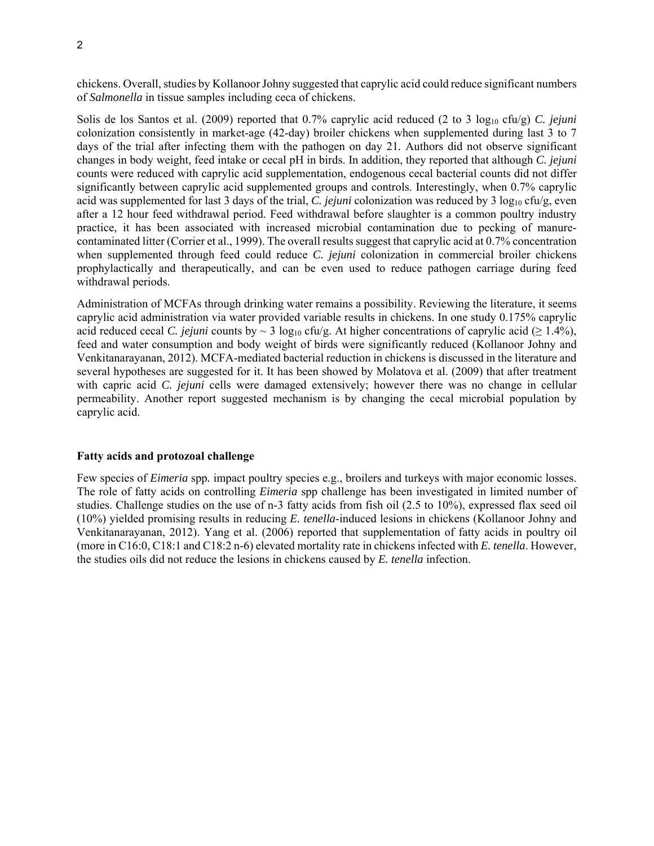2

chickens. Overall, studies by Kollanoor Johny suggested that caprylic acid could reduce significant numbers of *Salmonella* in tissue samples including ceca of chickens.

Solis de los Santos et al. (2009) reported that 0.7% caprylic acid reduced (2 to 3 log<sub>10</sub> cfu/g) *C. jejuni* colonization consistently in market-age (42-day) broiler chickens when supplemented during last 3 to 7 days of the trial after infecting them with the pathogen on day 21*.* Authors did not observe significant changes in body weight, feed intake or cecal pH in birds. In addition, they reported that although *C. jejuni* counts were reduced with caprylic acid supplementation, endogenous cecal bacterial counts did not differ significantly between caprylic acid supplemented groups and controls. Interestingly, when 0.7% caprylic acid was supplemented for last 3 days of the trial, *C. jejuni* colonization was reduced by 3 log<sub>10</sub> cfu/g, even after a 12 hour feed withdrawal period. Feed withdrawal before slaughter is a common poultry industry practice, it has been associated with increased microbial contamination due to pecking of manurecontaminated litter (Corrier et al., 1999). The overall results suggest that caprylic acid at 0.7% concentration when supplemented through feed could reduce *C. jejuni* colonization in commercial broiler chickens prophylactically and therapeutically, and can be even used to reduce pathogen carriage during feed withdrawal periods.

Administration of MCFAs through drinking water remains a possibility. Reviewing the literature, it seems caprylic acid administration via water provided variable results in chickens. In one study 0.175% caprylic acid reduced cecal *C. jejuni* counts by ~ 3 log<sub>10</sub> cfu/g. At higher concentrations of caprylic acid ( $\geq 1.4\%$ ), feed and water consumption and body weight of birds were significantly reduced (Kollanoor Johny and Venkitanarayanan, 2012). MCFA-mediated bacterial reduction in chickens is discussed in the literature and several hypotheses are suggested for it. It has been showed by Molatova et al. (2009) that after treatment with capric acid *C. jejuni* cells were damaged extensively; however there was no change in cellular permeability. Another report suggested mechanism is by changing the cecal microbial population by caprylic acid.

#### **Fatty acids and protozoal challenge**

Few species of *Eimeria* spp*.* impact poultry species e.g., broilers and turkeys with major economic losses. The role of fatty acids on controlling *Eimeria* spp challenge has been investigated in limited number of studies. Challenge studies on the use of n-3 fatty acids from fish oil (2.5 to 10%), expressed flax seed oil (10%) yielded promising results in reducing *E. tenella*-induced lesions in chickens (Kollanoor Johny and Venkitanarayanan, 2012). Yang et al. (2006) reported that supplementation of fatty acids in poultry oil (more in C16:0, C18:1 and C18:2 n-6) elevated mortality rate in chickens infected with *E. tenella*. However, the studies oils did not reduce the lesions in chickens caused by *E. tenella* infection.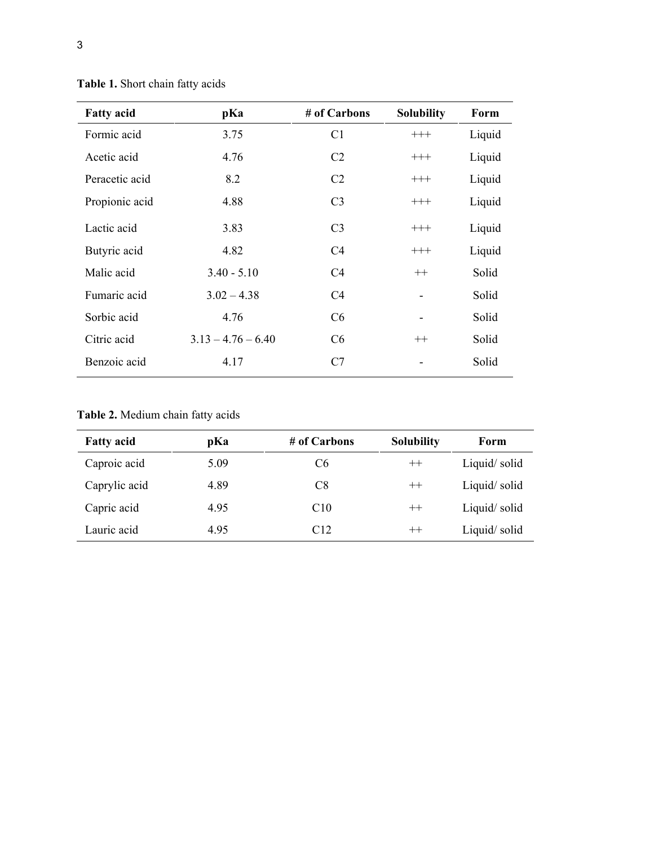| <b>Fatty acid</b> | pKa                  | # of Carbons   | <b>Solubility</b> | Form   |
|-------------------|----------------------|----------------|-------------------|--------|
| Formic acid       | 3.75                 | C1             | $+++$             | Liquid |
| Acetic acid       | 4.76                 | C <sub>2</sub> | $^{+++}$          | Liquid |
| Peracetic acid    | 8.2                  | C <sub>2</sub> | $^{+++}$          | Liquid |
| Propionic acid    | 4.88                 | C <sub>3</sub> | $+++$             | Liquid |
| Lactic acid       | 3.83                 | C <sub>3</sub> | $+++$             | Liquid |
| Butyric acid      | 4.82                 | C <sub>4</sub> | $^{+++}$          | Liquid |
| Malic acid        | $3.40 - 5.10$        | C <sub>4</sub> | $++$              | Solid  |
| Fumaric acid      | $3.02 - 4.38$        | C <sub>4</sub> |                   | Solid  |
| Sorbic acid       | 4.76                 | C <sub>6</sub> |                   | Solid  |
| Citric acid       | $3.13 - 4.76 - 6.40$ | C <sub>6</sub> | $++$              | Solid  |
| Benzoic acid      | 4.17                 | C7             |                   | Solid  |

**Table 1.** Short chain fatty acids

**Table 2.** Medium chain fatty acids

| <b>Fatty acid</b> | pKa  | # of Carbons   | <b>Solubility</b> | Form         |
|-------------------|------|----------------|-------------------|--------------|
| Caproic acid      | 5.09 | C <sub>6</sub> | $++$              | Liquid/solid |
| Caprylic acid     | 4.89 | C8             | $++$              | Liquid/solid |
| Capric acid       | 4.95 | C10            | $^{++}$           | Liquid/solid |
| Lauric acid       | 4.95 | C12            | $^{++}$           | Liquid/solid |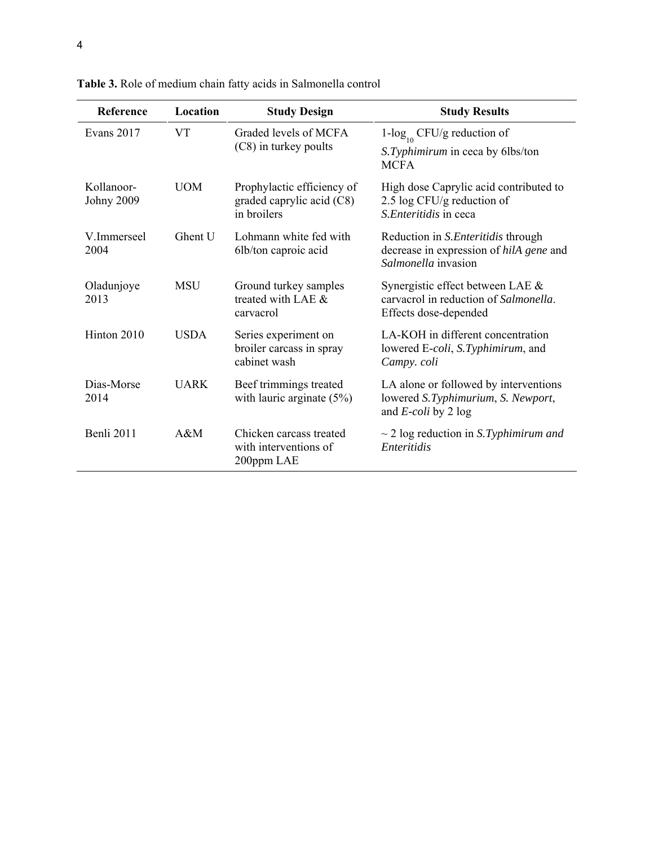| Reference                       | Location    | <b>Study Design</b>                                                    | <b>Study Results</b>                                                                                         |
|---------------------------------|-------------|------------------------------------------------------------------------|--------------------------------------------------------------------------------------------------------------|
| Evans 2017                      | <b>VT</b>   | Graded levels of MCFA<br>(C8) in turkey poults                         | 1- $\log_{10}$ CFU/g reduction of<br>S. Typhimirum in ceca by 6lbs/ton<br><b>MCFA</b>                        |
| Kollanoor-<br><b>Johny 2009</b> | <b>UOM</b>  | Prophylactic efficiency of<br>graded caprylic acid (C8)<br>in broilers | High dose Caprylic acid contributed to<br>2.5 log CFU/g reduction of<br>S. Enteritidis in ceca               |
| V.Immerseel<br>2004             | Ghent U     | Lohmann white fed with<br>6lb/ton caproic acid                         | Reduction in <i>S. Enteritidis</i> through<br>decrease in expression of hilA gene and<br>Salmonella invasion |
| Oladunjoye<br>2013              | <b>MSU</b>  | Ground turkey samples<br>treated with LAE &<br>carvacrol               | Synergistic effect between LAE &<br>carvacrol in reduction of Salmonella.<br>Effects dose-depended           |
| Hinton 2010                     | <b>USDA</b> | Series experiment on<br>broiler carcass in spray<br>cabinet wash       | LA-KOH in different concentration<br>lowered E-coli, S.Typhimirum, and<br>Campy. coli                        |
| Dias-Morse<br>2014              | <b>UARK</b> | Beef trimmings treated<br>with lauric arginate $(5%)$                  | LA alone or followed by interventions<br>lowered S.Typhimurium, S. Newport,<br>and $E$ -coli by 2 log        |
| Benli 2011                      | $A\&M$      | Chicken carcass treated<br>with interventions of<br>200ppm LAE         | $\sim$ 2 log reduction in S. Typhimirum and<br>Enteritidis                                                   |

**Table 3.** Role of medium chain fatty acids in Salmonella control